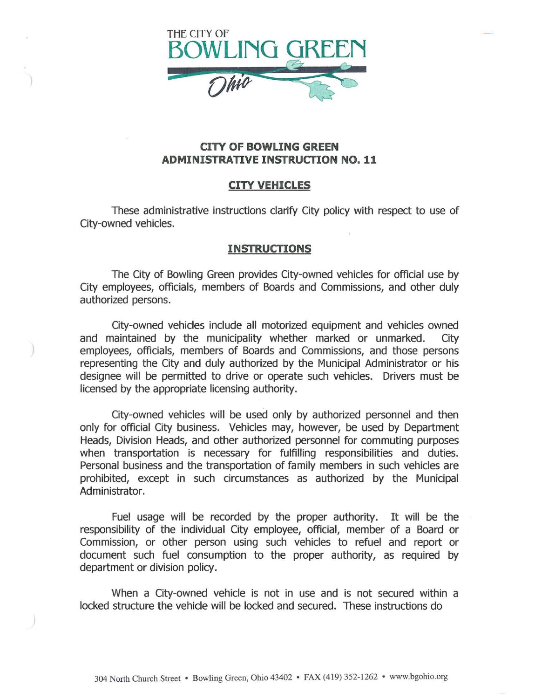

## **CITY OF BOWLING GREEN ADMINISTRATIVE INSTRUCTION NO. 11**

## **CITY VEHICLES**

These administrative instructions clarify City policy with respect to use of City-owned vehicles.

## **INSTRUCTIONS**

The City of Bowling Green provides City-owned vehicles for official use by City employees, officials, members of Boards and Commissions, and other duly authorized persons.

City-owned vehicles include all motorized equipment and vehicles owned and maintained by the municipality whether marked or unmarked. City employees, officials, members of Boards and Commissions, and those persons representing the City and duly authorized by the Municipal Administrator or his designee will be permitted to drive or operate such vehicles. Drivers must be licensed by the appropriate licensing authority.

City-owned vehicles will be used only by authorized personnel and then only for official City business. Vehicles may, however, be used by Department Heads, Division Heads, and other authorized personnel for commuting purposes when transportation is necessary for fulfilling responsibilities and duties. Personal business and the transportation of family members in such vehicles are prohibited, except in such circumstances as authorized by the Municipal Administrator.

Fuel usage will be recorded by the proper authority. It will be the responsibility of the individual City employee, official, member of a Board or Commission, or other person using such vehicles to refuel and report or document such fuel consumption to the proper authority, as required by department or division policy.

When a City-owned vehicle is not in use and is not secured within a locked structure the vehicle will be locked and secured. These instructions do